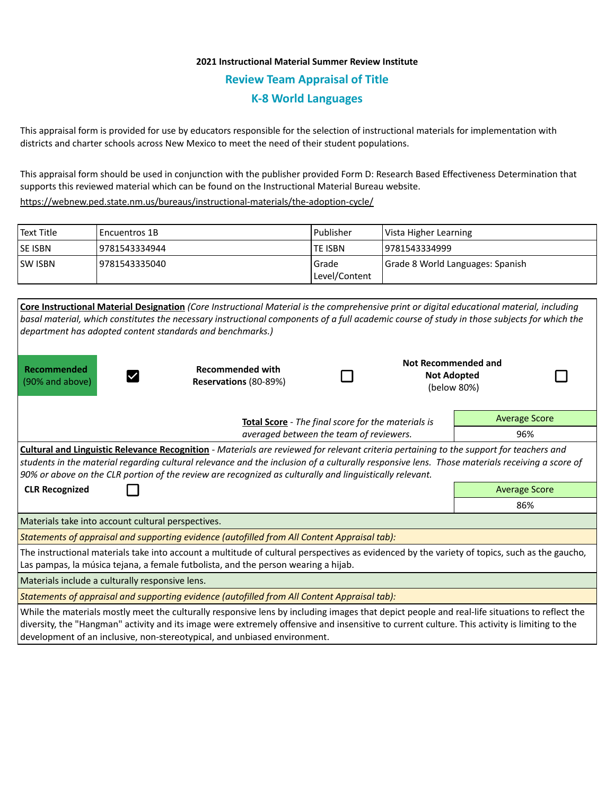## **2021 Instructional Material Summer Review Institute Review Team Appraisal of Title K-8 World Languages**

This appraisal form is provided for use by educators responsible for the selection of instructional materials for implementation with districts and charter schools across New Mexico to meet the need of their student populations.

This appraisal form should be used in conjunction with the publisher provided Form D: Research Based Effectiveness Determination that supports this reviewed material which can be found on the Instructional Material Bureau website.

<https://webnew.ped.state.nm.us/bureaus/instructional-materials/the-adoption-cycle/>

| l Text Title | l Encuentros 1B | Publisher               | Vista Higher Learning            |
|--------------|-----------------|-------------------------|----------------------------------|
| lse isbn     | 9781543334944   | <b>TE ISBN</b>          | 19781543334999                   |
| lsw isbn     | 9781543335040   | Grade<br> Level/Content | Grade 8 World Languages: Spanish |

| Core Instructional Material Designation (Core Instructional Material is the comprehensive print or digital educational material, including<br>basal material, which constitutes the necessary instructional components of a full academic course of study in those subjects for which the<br>department has adopted content standards and benchmarks.)                                              |                                                    |  |                                                          |                      |  |  |  |  |
|-----------------------------------------------------------------------------------------------------------------------------------------------------------------------------------------------------------------------------------------------------------------------------------------------------------------------------------------------------------------------------------------------------|----------------------------------------------------|--|----------------------------------------------------------|----------------------|--|--|--|--|
| Recommended<br>(90% and above)                                                                                                                                                                                                                                                                                                                                                                      | <b>Recommended with</b><br>Reservations (80-89%)   |  | Not Recommended and<br><b>Not Adopted</b><br>(below 80%) |                      |  |  |  |  |
|                                                                                                                                                                                                                                                                                                                                                                                                     | Total Score - The final score for the materials is |  |                                                          | <b>Average Score</b> |  |  |  |  |
| averaged between the team of reviewers.                                                                                                                                                                                                                                                                                                                                                             |                                                    |  |                                                          | 96%                  |  |  |  |  |
| Cultural and Linguistic Relevance Recognition - Materials are reviewed for relevant criteria pertaining to the support for teachers and<br>students in the material regarding cultural relevance and the inclusion of a culturally responsive lens. Those materials receiving a score of<br>90% or above on the CLR portion of the review are recognized as culturally and linguistically relevant. |                                                    |  |                                                          |                      |  |  |  |  |
| <b>CLR Recognized</b>                                                                                                                                                                                                                                                                                                                                                                               |                                                    |  |                                                          | <b>Average Score</b> |  |  |  |  |
|                                                                                                                                                                                                                                                                                                                                                                                                     |                                                    |  |                                                          | 86%                  |  |  |  |  |
| Materials take into account cultural perspectives.                                                                                                                                                                                                                                                                                                                                                  |                                                    |  |                                                          |                      |  |  |  |  |
| Statements of appraisal and supporting evidence (autofilled from All Content Appraisal tab):                                                                                                                                                                                                                                                                                                        |                                                    |  |                                                          |                      |  |  |  |  |
| The instructional materials take into account a multitude of cultural perspectives as evidenced by the variety of topics, such as the gaucho,<br>Las pampas, la música tejana, a female futbolista, and the person wearing a hijab.                                                                                                                                                                 |                                                    |  |                                                          |                      |  |  |  |  |
| Materials include a culturally responsive lens.                                                                                                                                                                                                                                                                                                                                                     |                                                    |  |                                                          |                      |  |  |  |  |
| Statements of appraisal and supporting evidence (autofilled from All Content Appraisal tab):                                                                                                                                                                                                                                                                                                        |                                                    |  |                                                          |                      |  |  |  |  |
| While the materials mostly meet the culturally responsive lens by including images that depict people and real-life situations to reflect the<br>diversity, the "Hangman" activity and its image were extremely offensive and insensitive to current culture. This activity is limiting to the                                                                                                      |                                                    |  |                                                          |                      |  |  |  |  |

development of an inclusive, non-stereotypical, and unbiased environment.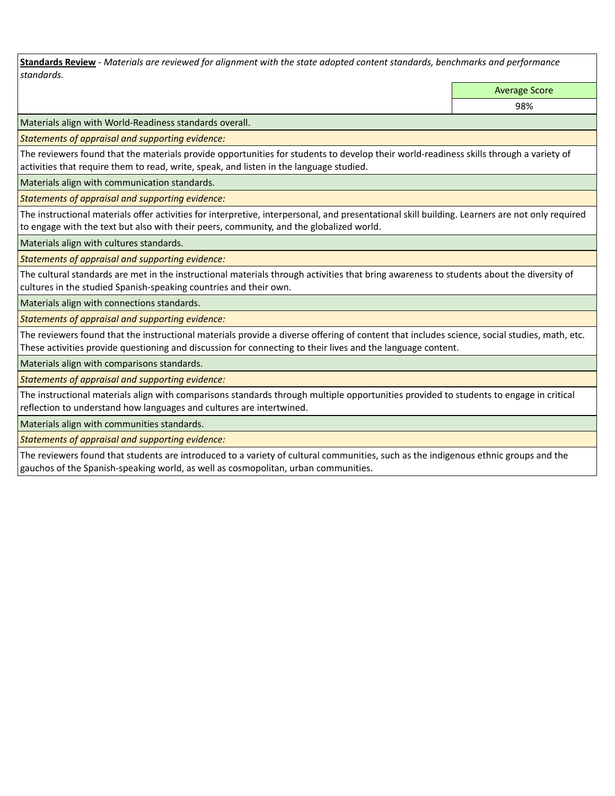**Standards Review** *- Materials are reviewed for alignment with the state adopted content standards, benchmarks and performance standards.*

Average Score

98%

Materials align with World-Readiness standards overall.

*Statements of appraisal and supporting evidence:* 

The reviewers found that the materials provide opportunities for students to develop their world-readiness skills through a variety of activities that require them to read, write, speak, and listen in the language studied.

Materials align with communication standards.

*Statements of appraisal and supporting evidence:* 

The instructional materials offer activities for interpretive, interpersonal, and presentational skill building. Learners are not only required to engage with the text but also with their peers, community, and the globalized world.

Materials align with cultures standards.

*Statements of appraisal and supporting evidence:* 

The cultural standards are met in the instructional materials through activities that bring awareness to students about the diversity of cultures in the studied Spanish-speaking countries and their own.

Materials align with connections standards.

*Statements of appraisal and supporting evidence:* 

The reviewers found that the instructional materials provide a diverse offering of content that includes science, social studies, math, etc. These activities provide questioning and discussion for connecting to their lives and the language content.

Materials align with comparisons standards.

*Statements of appraisal and supporting evidence:* 

The instructional materials align with comparisons standards through multiple opportunities provided to students to engage in critical reflection to understand how languages and cultures are intertwined.

Materials align with communities standards.

*Statements of appraisal and supporting evidence:* 

The reviewers found that students are introduced to a variety of cultural communities, such as the indigenous ethnic groups and the gauchos of the Spanish-speaking world, as well as cosmopolitan, urban communities.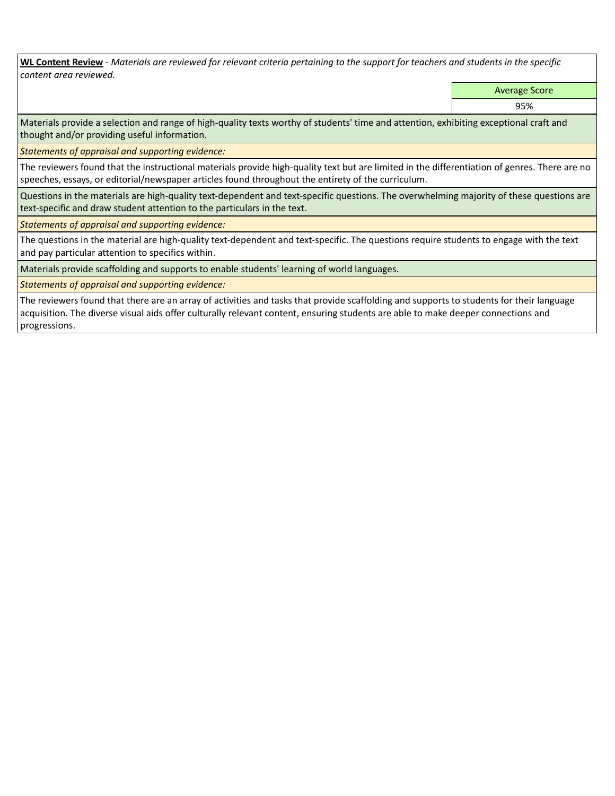**WL Content Review** *- Materials are reviewed for relevant criteria pertaining to the support for teachers and students in the specific content area reviewed.*

Average Score

95%

Materials provide a selection and range of high-quality texts worthy of students' time and attention, exhibiting exceptional craft and thought and/or providing useful information.

*Statements of appraisal and supporting evidence:* 

The reviewers found that the instructional materials provide high-quality text but are limited in the differentiation of genres. There are no speeches, essays, or editorial/newspaper articles found throughout the entirety of the curriculum.

Questions in the materials are high-quality text-dependent and text-specific questions. The overwhelming majority of these questions are text-specific and draw student attention to the particulars in the text.

*Statements of appraisal and supporting evidence:* 

The questions in the material are high-quality text-dependent and text-specific. The questions require students to engage with the text and pay particular attention to specifics within.

Materials provide scaffolding and supports to enable students' learning of world languages.

*Statements of appraisal and supporting evidence:* 

The reviewers found that there are an array of activities and tasks that provide scaffolding and supports to students for their language acquisition. The diverse visual aids offer culturally relevant content, ensuring students are able to make deeper connections and progressions.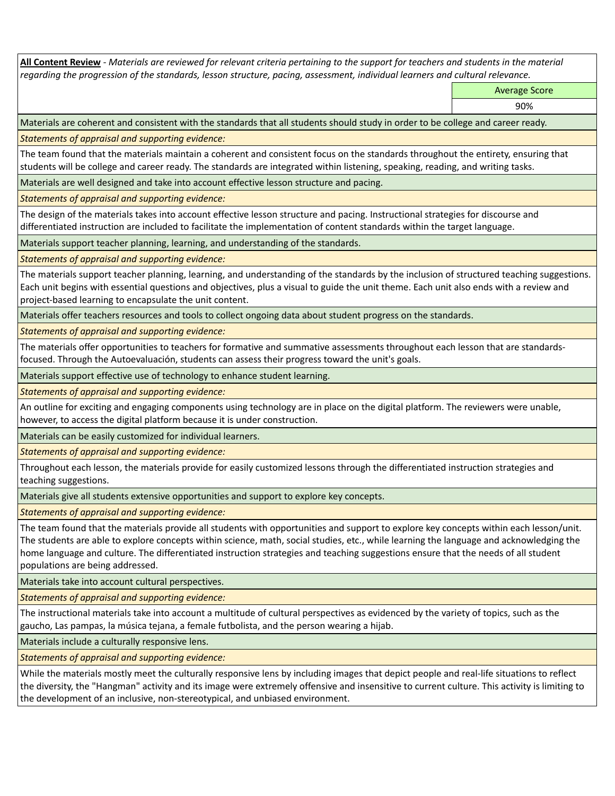**All Content Review** *- Materials are reviewed for relevant criteria pertaining to the support for teachers and students in the material regarding the progression of the standards, lesson structure, pacing, assessment, individual learners and cultural relevance.*

Average Score

90%

Materials are coherent and consistent with the standards that all students should study in order to be college and career ready.

*Statements of appraisal and supporting evidence:*

The team found that the materials maintain a coherent and consistent focus on the standards throughout the entirety, ensuring that students will be college and career ready. The standards are integrated within listening, speaking, reading, and writing tasks.

Materials are well designed and take into account effective lesson structure and pacing.

*Statements of appraisal and supporting evidence:*

The design of the materials takes into account effective lesson structure and pacing. Instructional strategies for discourse and differentiated instruction are included to facilitate the implementation of content standards within the target language.

Materials support teacher planning, learning, and understanding of the standards.

*Statements of appraisal and supporting evidence:*

The materials support teacher planning, learning, and understanding of the standards by the inclusion of structured teaching suggestions. Each unit begins with essential questions and objectives, plus a visual to guide the unit theme. Each unit also ends with a review and project-based learning to encapsulate the unit content.

Materials offer teachers resources and tools to collect ongoing data about student progress on the standards.

*Statements of appraisal and supporting evidence:*

The materials offer opportunities to teachers for formative and summative assessments throughout each lesson that are standardsfocused. Through the Autoevaluación, students can assess their progress toward the unit's goals.

Materials support effective use of technology to enhance student learning.

*Statements of appraisal and supporting evidence:*

An outline for exciting and engaging components using technology are in place on the digital platform. The reviewers were unable, however, to access the digital platform because it is under construction.

Materials can be easily customized for individual learners.

*Statements of appraisal and supporting evidence:* 

Throughout each lesson, the materials provide for easily customized lessons through the differentiated instruction strategies and teaching suggestions.

Materials give all students extensive opportunities and support to explore key concepts.

*Statements of appraisal and supporting evidence:*

The team found that the materials provide all students with opportunities and support to explore key concepts within each lesson/unit. The students are able to explore concepts within science, math, social studies, etc., while learning the language and acknowledging the home language and culture. The differentiated instruction strategies and teaching suggestions ensure that the needs of all student populations are being addressed.

Materials take into account cultural perspectives.

*Statements of appraisal and supporting evidence:*

The instructional materials take into account a multitude of cultural perspectives as evidenced by the variety of topics, such as the gaucho, Las pampas, la música tejana, a female futbolista, and the person wearing a hijab.

Materials include a culturally responsive lens.

*Statements of appraisal and supporting evidence:*

While the materials mostly meet the culturally responsive lens by including images that depict people and real-life situations to reflect the diversity, the "Hangman" activity and its image were extremely offensive and insensitive to current culture. This activity is limiting to the development of an inclusive, non-stereotypical, and unbiased environment.